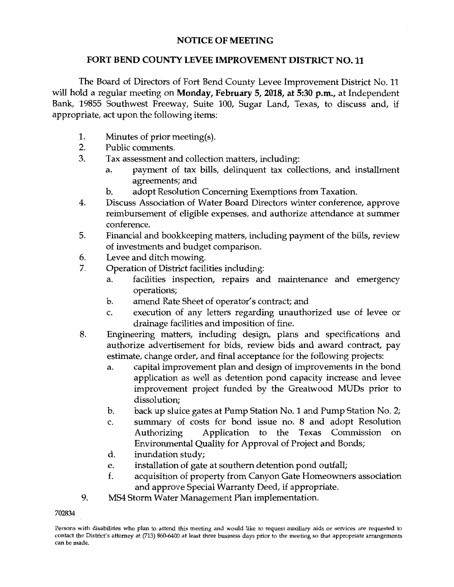## **NOTICE OF MEETING**

## **FORT BEND COUNTY LEVEE IMPROVEMENT DISTRICT NO. 11**

The Board of Directors of Fort Bend County Levee Improvement District No. 11 will hold a regular meeting on **Monday, February 5, 2018, at 5:30 p.m.,** at Independent Bank, 19855 Southwest Freeway, Suite 100, Sugar Land, Texas, to discuss and, if appropriate, act upon the following items:

- 1. Minutes of prior meeting(s).
- 2. Public comments.
- 3. Tax assessment and collection matters, including:
	- a. payment of tax bills, delinquent tax collections, and installment agreements; and
	- b. adopt Resolution Concerning Exemptions from Taxation.
- 4. Discuss Association of Water Board Directors winter conference, approve reimbursement of eligible expenses, and authorize attendance at summer conference.
- 5. Financial and bookkeeping matters, including payment of the bills, review of investments and budget comparison.
- 6. Levee and ditch mowing.
- 7. Operation of District facilities including:
	- a. facilities inspection, repairs and maintenance and emergency operations;
	- b. amend Rate Sheet of operator's contract; and
	- c. execution of any letters regarding unauthorized use of levee or drainage facilities and imposition of fine.
- 8. Engineering matters, including design, plans and specifications and authorize advertisement for bids, review bids and award contract, pay estimate, change order, and final acceptance for the following projects:
	- a. capital improvement plan and design of improvements in the bond application as well as detention pond capacity increase and levee improvement project funded by the Greatwood MUDs prior to dissolution;
	- b. back up sluice gates at Pump Station No. 1 and Pump Station No. 2;
	- c. summary of costs for bond issue no. 8 and adopt Resolution Authorizing Application to the Texas Commission on Environmental Quality for Approval of Project and Bonds;
	- d. inundation study;
	- e. installation of gate at southern detention pond outfall;
	- f. acquisition of property from Canyon Gate Homeowners association and approve Special Warranty Deed, if appropriate.
- 9. MS4 Storm Water Management Plan implementation.

## 702834

Persons with disabilities who plan to attend this meeting and would like to request auxiliary aids or services are requested to contact the District's attorney at (713) 860-6400 at least three business days prior to the meeting so that appropriate arrangements can be made.